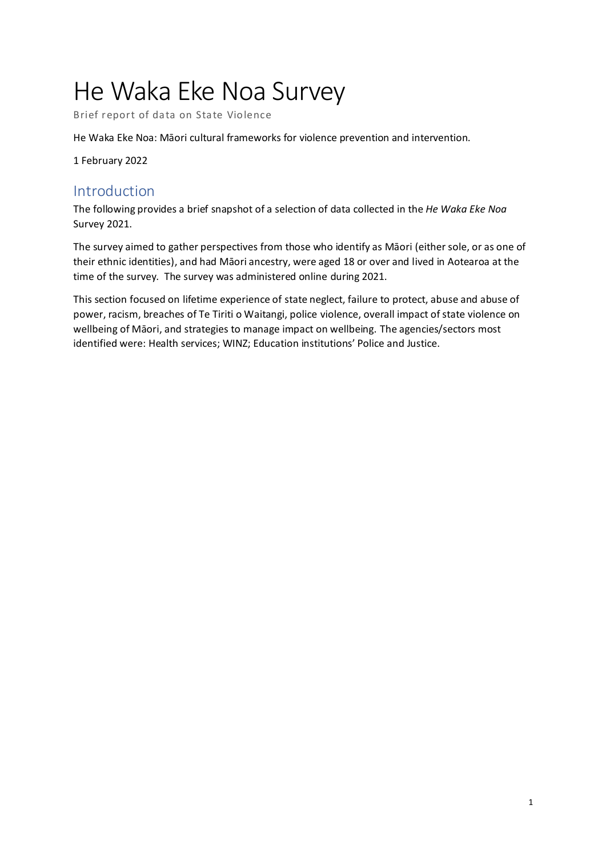# He Waka Eke Noa Survey

Brief report of data on State Violence

He Waka Eke Noa: Māori cultural frameworks for violence prevention and intervention.

1 February 2022

# Introduction

The following provides a brief snapshot of a selection of data collected in the *He Waka Eke Noa* Survey 2021.

The survey aimed to gather perspectives from those who identify as Māori (either sole, or as one of their ethnic identities), and had Māori ancestry, were aged 18 or over and lived in Aotearoa at the time of the survey. The survey was administered online during 2021.

This section focused on lifetime experience of state neglect, failure to protect, abuse and abuse of power, racism, breaches of Te Tiriti o Waitangi, police violence, overall impact of state violence on wellbeing of Māori, and strategies to manage impact on wellbeing. The agencies/sectors most identified were: Health services; WINZ; Education institutions' Police and Justice.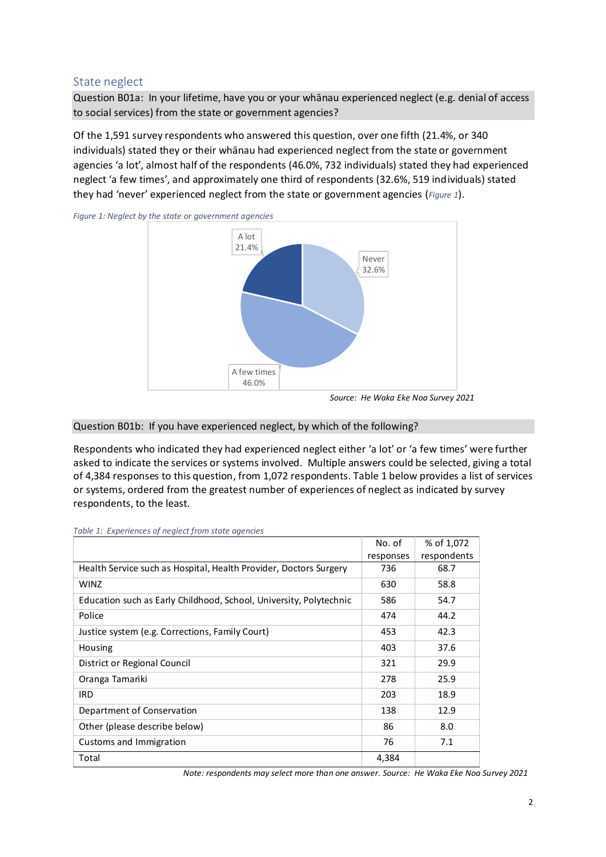## State neglect

Question B01a: In your lifetime, have you or your whānau experienced neglect (e.g. denial of access to social services) from the state or government agencies?

Of the 1,591 survey respondents who answered this question, over one fifth (21.4%, or 340 individuals) stated they or their whānau had experienced neglect from the state or government agencies 'a lot', almost half of the respondents (46.0%, 732 individuals) stated they had experienced neglect 'a few times', and approximately one third of respondents (32.6%, 519 individuals) stated they had 'never' experienced neglect from the state or government agencies (*[Figure 1](#page-1-0)*).



<span id="page-1-0"></span>*Figure 1: Neglect by the state or government agencies*

*Source: He Waka Eke Noa Survey 2021*

#### Question B01b: If you have experienced neglect, by which of the following?

Respondents who indicated they had experienced neglect either 'a lot' or 'a few times' were further asked to indicate the services or systems involved. Multiple answers could be selected, giving a total of 4,384 responses to this question, from 1,072 respondents. [Table 1](#page-1-1) below provides a list of services or systems, ordered from the greatest number of experiences of neglect as indicated by survey respondents, to the least.

|                                                                    | No. of    | % of 1,072  |
|--------------------------------------------------------------------|-----------|-------------|
|                                                                    | responses | respondents |
| Health Service such as Hospital, Health Provider, Doctors Surgery  | 736       | 68.7        |
| <b>WINZ</b>                                                        | 630       | 58.8        |
| Education such as Early Childhood, School, University, Polytechnic | 586       | 54.7        |
| Police                                                             | 474       | 44.2        |
| Justice system (e.g. Corrections, Family Court)                    | 453       | 42.3        |
| Housing                                                            | 403       | 37.6        |
| District or Regional Council                                       | 321       | 29.9        |
| Oranga Tamariki                                                    | 278       | 25.9        |
| <b>IRD</b>                                                         | 203       | 18.9        |
| Department of Conservation                                         | 138       | 12.9        |
| Other (please describe below)                                      | 86        | 8.0         |
| Customs and Immigration                                            | 76        | 7.1         |
| Total                                                              | 4,384     |             |

<span id="page-1-1"></span>*Table 1: Experiences of neglect from state agencies*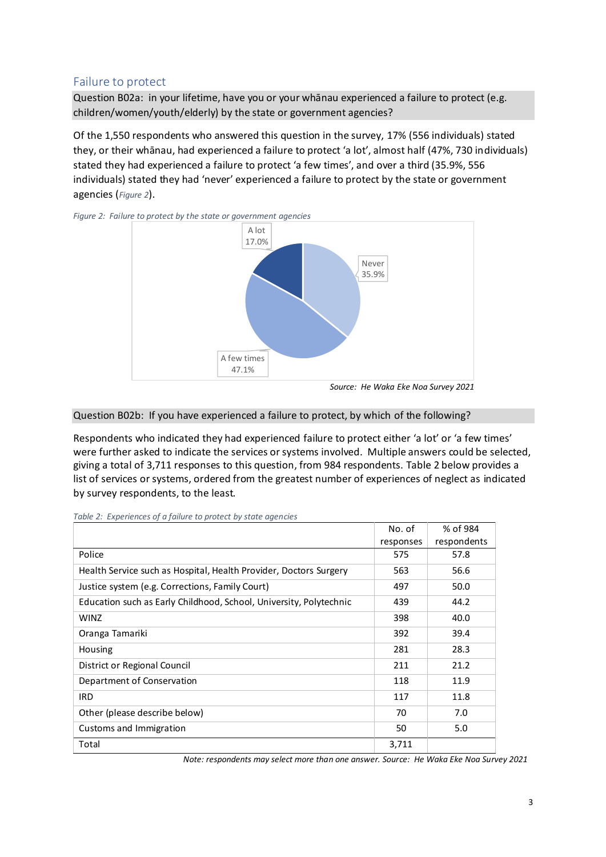# Failure to protect

Question B02a: in your lifetime, have you or your whānau experienced a failure to protect (e.g. children/women/youth/elderly) by the state or government agencies?

Of the 1,550 respondents who answered this question in the survey, 17% (556 individuals) stated they, or their whānau, had experienced a failure to protect 'a lot', almost half (47%, 730 individuals) stated they had experienced a failure to protect 'a few times', and over a third (35.9%, 556 individuals) stated they had 'never' experienced a failure to protect by the state or government agencies (*[Figure 2](#page-2-0)*).

<span id="page-2-0"></span>

*Source: He Waka Eke Noa Survey 2021*

#### Question B02b: If you have experienced a failure to protect, by which of the following?

Respondents who indicated they had experienced failure to protect either 'a lot' or 'a few times' were further asked to indicate the services or systems involved. Multiple answers could be selected, giving a total of 3,711 responses to this question, from 984 respondents. [Table 2](#page-2-1) below provides a list of services or systems, ordered from the greatest number of experiences of neglect as indicated by survey respondents, to the least.

|                                                                    | No. of    | % of 984    |
|--------------------------------------------------------------------|-----------|-------------|
|                                                                    | responses | respondents |
| Police                                                             | 575       | 57.8        |
| Health Service such as Hospital, Health Provider, Doctors Surgery  | 563       | 56.6        |
| Justice system (e.g. Corrections, Family Court)                    | 497       | 50.0        |
| Education such as Early Childhood, School, University, Polytechnic | 439       | 44.2        |
| <b>WINZ</b>                                                        | 398       | 40.0        |
| Oranga Tamariki                                                    | 392       | 39.4        |
| Housing                                                            | 281       | 28.3        |
| District or Regional Council                                       | 211       | 21.2        |
| Department of Conservation                                         | 118       | 11.9        |
| <b>IRD</b>                                                         | 117       | 11.8        |
| Other (please describe below)                                      | 70        | 7.0         |
| Customs and Immigration                                            | 50        | 5.0         |
| Total                                                              | 3,711     |             |

<span id="page-2-1"></span>*Table 2: Experiences of a failure to protect by state agencies*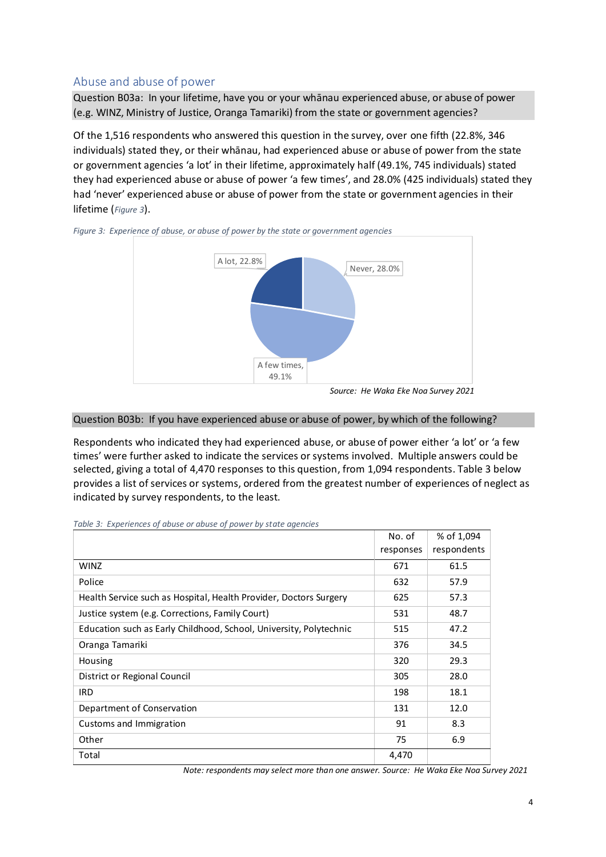# Abuse and abuse of power

Question B03a: In your lifetime, have you or your whānau experienced abuse, or abuse of power (e.g. WINZ, Ministry of Justice, Oranga Tamariki) from the state or government agencies?

Of the 1,516 respondents who answered this question in the survey, over one fifth (22.8%, 346 individuals) stated they, or their whānau, had experienced abuse or abuse of power from the state or government agencies 'a lot' in their lifetime, approximately half (49.1%, 745 individuals) stated they had experienced abuse or abuse of power 'a few times', and 28.0% (425 individuals) stated they had 'never' experienced abuse or abuse of power from the state or government agencies in their lifetime (*[Figure 3](#page-3-0)*).

<span id="page-3-0"></span>



*Source: He Waka Eke Noa Survey 2021*

### Question B03b: If you have experienced abuse or abuse of power, by which of the following?

Respondents who indicated they had experienced abuse, or abuse of power either 'a lot' or 'a few times' were further asked to indicate the services or systems involved. Multiple answers could be selected, giving a total of 4,470 responses to this question, from 1,094 respondents[. Table 3](#page-3-1) below provides a list of services or systems, ordered from the greatest number of experiences of neglect as indicated by survey respondents, to the least.

|                                                                    | No. of    | % of 1,094  |
|--------------------------------------------------------------------|-----------|-------------|
|                                                                    | responses | respondents |
| <b>WINZ</b>                                                        | 671       | 61.5        |
| Police                                                             | 632       | 57.9        |
| Health Service such as Hospital, Health Provider, Doctors Surgery  | 625       | 57.3        |
| Justice system (e.g. Corrections, Family Court)                    | 531       | 48.7        |
| Education such as Early Childhood, School, University, Polytechnic | 515       | 47.2        |
| Oranga Tamariki                                                    | 376       | 34.5        |
| Housing                                                            | 320       | 29.3        |
| District or Regional Council                                       | 305       | 28.0        |
| <b>IRD</b>                                                         | 198       | 18.1        |
| Department of Conservation                                         | 131       | 12.0        |
| Customs and Immigration                                            | 91        | 8.3         |
| Other                                                              | 75        | 6.9         |
| Total                                                              | 4,470     |             |

<span id="page-3-1"></span>

|  | Table 3: Experiences of abuse or abuse of power by state agencies |  |  |  |  |  |  |  |
|--|-------------------------------------------------------------------|--|--|--|--|--|--|--|
|--|-------------------------------------------------------------------|--|--|--|--|--|--|--|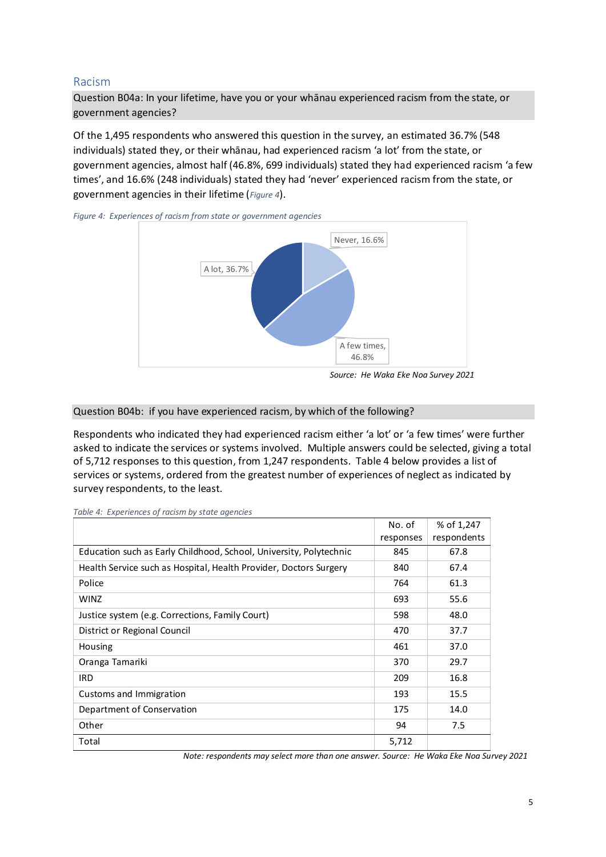## Racism

Question B04a: In your lifetime, have you or your whānau experienced racism from the state, or government agencies?

Of the 1,495 respondents who answered this question in the survey, an estimated 36.7% (548 individuals) stated they, or their whānau, had experienced racism 'a lot' from the state, or government agencies, almost half (46.8%, 699 individuals) stated they had experienced racism 'a few times', and 16.6% (248 individuals) stated they had 'never' experienced racism from the state, or government agencies in their lifetime (*[Figure 4](#page-4-0)*).

<span id="page-4-0"></span>*Figure 4: Experiences of racism from state or government agencies*



*Source: He Waka Eke Noa Survey 2021*

#### Question B04b: if you have experienced racism, by which of the following?

Respondents who indicated they had experienced racism either 'a lot' or 'a few times' were further asked to indicate the services or systems involved. Multiple answers could be selected, giving a total of 5,712 responses to this question, from 1,247 respondents. [Table 4](#page-4-1) below provides a list of services or systems, ordered from the greatest number of experiences of neglect as indicated by survey respondents, to the least.

|                                                                    | No. of    | % of 1,247  |
|--------------------------------------------------------------------|-----------|-------------|
|                                                                    | responses | respondents |
| Education such as Early Childhood, School, University, Polytechnic | 845       | 67.8        |
| Health Service such as Hospital, Health Provider, Doctors Surgery  | 840       | 67.4        |
| Police                                                             | 764       | 61.3        |
| <b>WINZ</b>                                                        | 693       | 55.6        |
| Justice system (e.g. Corrections, Family Court)                    | 598       | 48.0        |
| District or Regional Council                                       | 470       | 37.7        |
| Housing                                                            | 461       | 37.0        |
| Oranga Tamariki                                                    | 370       | 29.7        |
| <b>IRD</b>                                                         | 209       | 16.8        |
| Customs and Immigration                                            | 193       | 15.5        |
| Department of Conservation                                         | 175       | 14.0        |
| Other                                                              | 94        | 7.5         |
| Total                                                              | 5,712     |             |

<span id="page-4-1"></span>*Table 4: Experiences of racism by state agencies*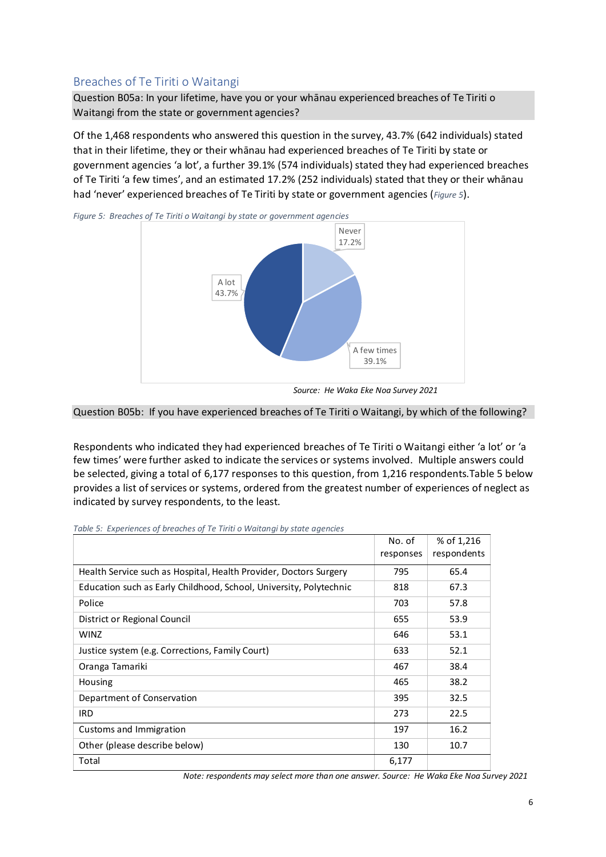# Breaches of Te Tiriti o Waitangi

Question B05a: In your lifetime, have you or your whānau experienced breaches of Te Tiriti o Waitangi from the state or government agencies?

Of the 1,468 respondents who answered this question in the survey, 43.7% (642 individuals) stated that in their lifetime, they or their whānau had experienced breaches of Te Tiriti by state or government agencies 'a lot', a further 39.1% (574 individuals) stated they had experienced breaches of Te Tiriti 'a few times', and an estimated 17.2% (252 individuals) stated that they or their whānau had 'never' experienced breaches of Te Tiriti by state or government agencies (*[Figure 5](#page-5-0)*).

<span id="page-5-0"></span>



*Source: He Waka Eke Noa Survey 2021*

#### Question B05b: If you have experienced breaches of Te Tiriti o Waitangi, by which of the following?

Respondents who indicated they had experienced breaches of Te Tiriti o Waitangi either 'a lot' or 'a few times' were further asked to indicate the services or systems involved. Multiple answers could be selected, giving a total of 6,177 responses to this question, from 1,216 respondent[s.Table 5](#page-5-1) below provides a list of services or systems, ordered from the greatest number of experiences of neglect as indicated by survey respondents, to the least.

|                                                                    | No. of<br>responses | % of 1,216<br>respondents |
|--------------------------------------------------------------------|---------------------|---------------------------|
|                                                                    |                     |                           |
| Health Service such as Hospital, Health Provider, Doctors Surgery  | 795                 | 65.4                      |
| Education such as Early Childhood, School, University, Polytechnic | 818                 | 67.3                      |
| Police                                                             | 703                 | 57.8                      |
| District or Regional Council                                       | 655                 | 53.9                      |
| <b>WINZ</b>                                                        | 646                 | 53.1                      |
| Justice system (e.g. Corrections, Family Court)                    | 633                 | 52.1                      |
| Oranga Tamariki                                                    | 467                 | 38.4                      |
| Housing                                                            | 465                 | 38.2                      |
| Department of Conservation                                         | 395                 | 32.5                      |
| <b>IRD</b>                                                         | 273                 | 22.5                      |
| Customs and Immigration                                            | 197                 | 16.2                      |
| Other (please describe below)                                      | 130                 | 10.7                      |
| Total                                                              | 6,177               |                           |

<span id="page-5-1"></span>*Table 5: Experiences of breaches of Te Tiriti o Waitangi by state agencies*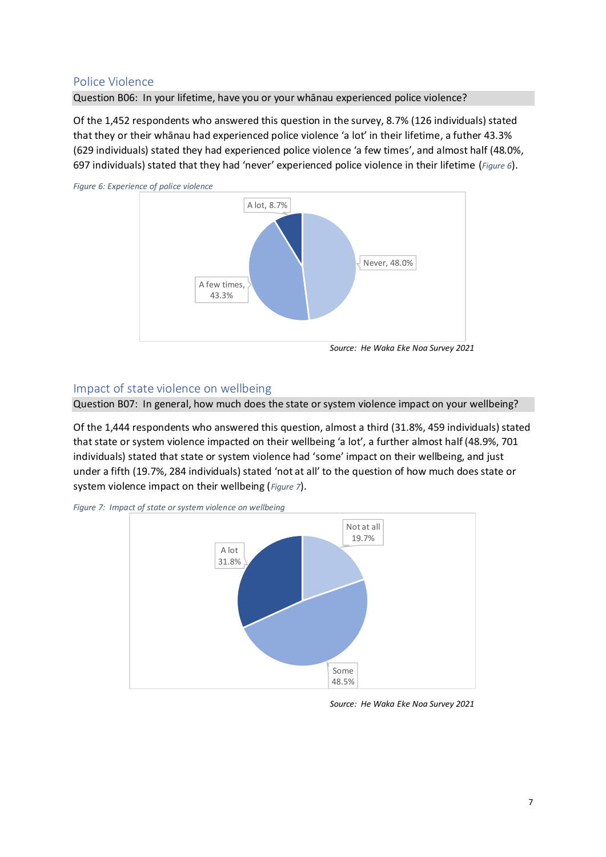# Police Violence

### Question B06: In your lifetime, have you or your whānau experienced police violence?

Of the 1,452 respondents who answered this question in the survey, 8.7% (126 individuals) stated that they or their whānau had experienced police violence 'a lot' in their lifetime, a futher 43.3% (629 individuals) stated they had experienced police violence 'a few times', and almost half (48.0%, 697 individuals) stated that they had 'never' experienced police violence in their lifetime (*[Figure 6](#page-6-0)*).

<span id="page-6-0"></span>

## Impact of state violence on wellbeing

Question B07: In general, how much does the state or system violence impact on your wellbeing?

Of the 1,444 respondents who answered this question, almost a third (31.8%, 459 individuals) stated that state or system violence impacted on their wellbeing 'a lot', a further almost half (48.9%, 701 individuals) stated that state or system violence had 'some' impact on their wellbeing, and just under a fifth (19.7%, 284 individuals) stated 'not at all' to the question of how much does state or system violence impact on their wellbeing (*[Figure 7](#page-6-1)*).



<span id="page-6-1"></span>*Figure 7: Impact of state or system violence on wellbeing*

*Source: He Waka Eke Noa Survey 2021*